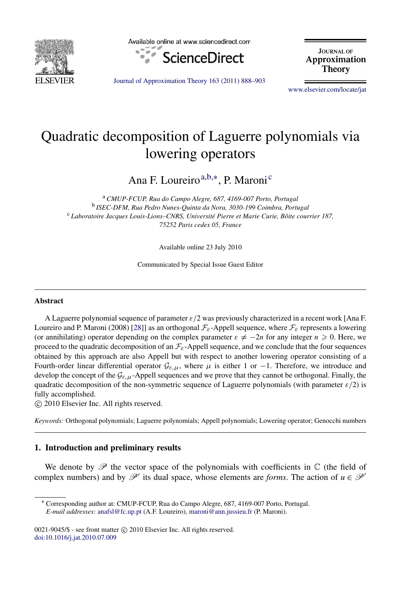

Available online at www.sciencedirect.com



**JOURNAL OF** Approximation Theory

[Journal of Approximation Theory 163 \(2011\) 888–903](http://dx.doi.org/10.1016/j.jat.2010.07.009)

[www.elsevier.com/locate/jat](http://www.elsevier.com/locate/jat)

# Quadratic decomposition of Laguerre polynomials via lowering operators

<span id="page-0-0"></span>Ana F. Loureiro<sup>[a,](#page-0-0)[b,](#page-0-1)[∗](#page-0-2)</sup>, P. Maroni<sup>[c](#page-0-3)</sup>

<span id="page-0-3"></span><span id="page-0-1"></span><sup>a</sup> *CMUP-FCUP, Rua do Campo Alegre, 687, 4169-007 Porto, Portugal* b *ISEC-DFM, Rua Pedro Nunes-Quinta da Nora, 3030-199 Coimbra, Portugal* <sup>c</sup> *Laboratoire Jacques Louis-Lions–CNRS, Universite Pierre et Marie Curie, B ´ oite courrier 187, ˆ 75252 Paris cedex 05, France*

Available online 23 July 2010

Communicated by Special Issue Guest Editor

#### Abstract

A Laguerre polynomial sequence of parameter  $\varepsilon/2$  was previously characterized in a recent work [Ana F. Loureiro and P. Maroni (2008) [\[28\]](#page-14-0)] as an orthogonal  $\mathcal{F}_{\epsilon}$ -Appell sequence, where  $\mathcal{F}_{\epsilon}$  represents a lowering (or annihilating) operator depending on the complex parameter  $\varepsilon \neq -2n$  for any integer  $n \geq 0$ . Here, we proceed to the quadratic decomposition of an  $\mathcal{F}_{\varepsilon}$ -Appell sequence, and we conclude that the four sequences obtained by this approach are also Appell but with respect to another lowering operator consisting of a Fourth-order linear differential operator  $\mathcal{G}_{\varepsilon,\mu}$ , where  $\mu$  is either 1 or −1. Therefore, we introduce and develop the concept of the  $\mathcal{G}_{\varepsilon,\mu}$ -Appell sequences and we prove that they cannot be orthogonal. Finally, the quadratic decomposition of the non-symmetric sequence of Laguerre polynomials (with parameter  $\varepsilon/2$ ) is fully accomplished.

⃝c 2010 Elsevier Inc. All rights reserved.

*Keywords:* Orthogonal polynomials; Laguerre polynomials; Appell polynomials; Lowering operator; Genocchi numbers

# 1. Introduction and preliminary results

We denote by  $\mathscr P$  the vector space of the polynomials with coefficients in  $\mathbb C$  (the field of complex numbers) and by  $\mathcal{P}'$  its dual space, whose elements are *forms*. The action of  $u \in \mathcal{P}'$ 

<span id="page-0-2"></span><sup>∗</sup> Corresponding author at: CMUP-FCUP, Rua do Campo Alegre, 687, 4169-007 Porto, Portugal. *E-mail addresses:* [anafsl@fc.up.pt](mailto:anafsl@fc.up.pt) (A.F. Loureiro), [maroni@ann.jussieu.fr](mailto:maroni@ann.jussieu.fr) (P. Maroni).

 $0021-9045/\$  - see front matter  $\circled{c}$  2010 Elsevier Inc. All rights reserved. [doi:10.1016/j.jat.2010.07.009](http://dx.doi.org/10.1016/j.jat.2010.07.009)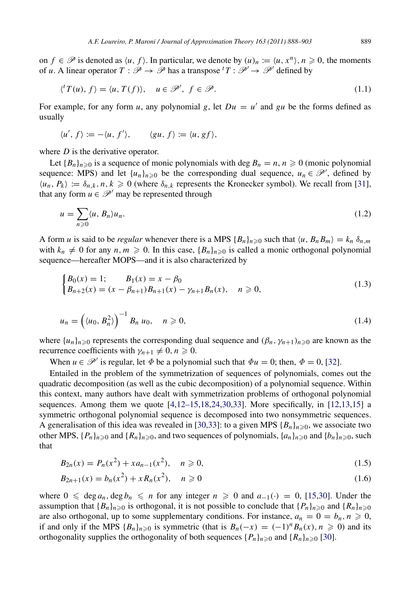on  $f \in \mathcal{P}$  is denoted as  $\langle u, f \rangle$ . In particular, we denote by  $(u)_n := \langle u, x^n \rangle, n \ge 0$ , the moments of *u*. A linear operator  $T : \mathscr{P} \to \mathscr{P}$  has a transpose  ${}^{t}T : \mathscr{P}' \to \mathscr{P}'$  defined by

<span id="page-1-2"></span>
$$
\langle f'(u), f \rangle = \langle u, T(f) \rangle, \quad u \in \mathcal{P}', \ f \in \mathcal{P}.
$$
 (1.1)

For example, for any form *u*, any polynomial *g*, let  $Du = u'$  and *gu* be the forms defined as usually

$$
\langle u', f \rangle := -\langle u, f' \rangle, \qquad \langle gu, f \rangle := \langle u, gf \rangle,
$$

where *D* is the derivative operator.

Let  ${B_n}_{n \geq 0}$  is a sequence of monic polynomials with deg  $B_n = n, n \geq 0$  (monic polynomial sequence: MPS) and let  $\{u_n\}_{n\geq 0}$  be the corresponding dual sequence,  $u_n \in \mathcal{P}'$ , defined by  $\langle u_n, P_k \rangle := \delta_{n,k}, n, k \geq 0$  (where  $\delta_{n,k}$  represents the Kronecker symbol). We recall from [\[31\]](#page-14-1), that any form  $u \in \mathcal{P}'$  may be represented through

$$
u = \sum_{n\geqslant 0} \langle u, B_n \rangle u_n. \tag{1.2}
$$

A form *u* is said to be *regular* whenever there is a MPS  ${B_n}_{n \ge 0}$  such that  $\langle u, B_n B_m \rangle = k_n \delta_{n,m}$ with  $k_n \neq 0$  for any  $n, m \geq 0$ . In this case,  ${B_n}_{n \geq 0}$  is called a monic orthogonal polynomial sequence—hereafter MOPS—and it is also characterized by

<span id="page-1-4"></span><span id="page-1-3"></span>
$$
\begin{cases} B_0(x) = 1; & B_1(x) = x - \beta_0 \\ B_{n+2}(x) = (x - \beta_{n+1})B_{n+1}(x) - \gamma_{n+1}B_n(x), & n \ge 0, \end{cases}
$$
(1.3)

$$
u_n = \left(\langle u_0, B_n^2 \rangle\right)^{-1} B_n u_0, \quad n \geq 0,
$$
\n(1.4)

where  $\{u_n\}_{n\geq 0}$  represents the corresponding dual sequence and  $(\beta_n, \gamma_{n+1})_{n\geq 0}$  are known as the recurrence coefficients with  $\gamma_{n+1} \neq 0$ ,  $n \geq 0$ .

When  $u \in \mathcal{P}'$  is regular, let  $\Phi$  be a polynomial such that  $\Phi u = 0$ ; then,  $\Phi = 0$ , [\[32\]](#page-14-2).

Entailed in the problem of the symmetrization of sequences of polynomials, comes out the quadratic decomposition (as well as the cubic decomposition) of a polynomial sequence. Within this context, many authors have dealt with symmetrization problems of orthogonal polynomial sequences. Among them we quote  $[4,12-15,18,24,30,33]$  $[4,12-15,18,24,30,33]$  $[4,12-15,18,24,30,33]$  $[4,12-15,18,24,30,33]$  $[4,12-15,18,24,30,33]$  $[4,12-15,18,24,30,33]$ . More specifically, in  $[12,13,15]$  $[12,13,15]$  $[12,13,15]$  a symmetric orthogonal polynomial sequence is decomposed into two nonsymmetric sequences. A generalisation of this idea was revealed in [\[30,](#page-14-7)[33\]](#page-14-8): to a given MPS  ${B_n}_{n \geq 0}$ , we associate two other MPS,  $\{P_n\}_{n\geq 0}$  and  $\{R_n\}_{n\geq 0}$ , and two sequences of polynomials,  $\{a_n\}_{n\geq 0}$  and  $\{b_n\}_{n\geq 0}$ , such that

$$
B_{2n}(x) = P_n(x^2) + x a_{n-1}(x^2), \quad n \ge 0,
$$
\n(1.5)

<span id="page-1-1"></span><span id="page-1-0"></span>
$$
B_{2n+1}(x) = b_n(x^2) + x R_n(x^2), \quad n \ge 0
$$
\n(1.6)

where  $0 \leq \deg a_n$ ,  $\deg b_n \leq n$  for any integer  $n \geq 0$  and  $a_{-1}(\cdot) = 0$ , [\[15](#page-14-10)[,30\]](#page-14-7). Under the assumption that  ${B_n}_{n \geq 0}$  is orthogonal, it is not possible to conclude that  ${P_n}_{n \geq 0}$  and  ${R_n}_{n \geq 0}$ are also orthogonal, up to some supplementary conditions. For instance,  $a_n = 0 = b_n, n \ge 0$ , if and only if the MPS  ${B_n}_{n \geq 0}$  is symmetric (that is  $B_n(-x) = (-1)^n B_n(x)$ ,  $n \geq 0$ ) and its orthogonality supplies the orthogonality of both sequences  ${P_n}_{n\geq 0}$  and  ${R_n}_{n\geq 0}$  [\[30\]](#page-14-7).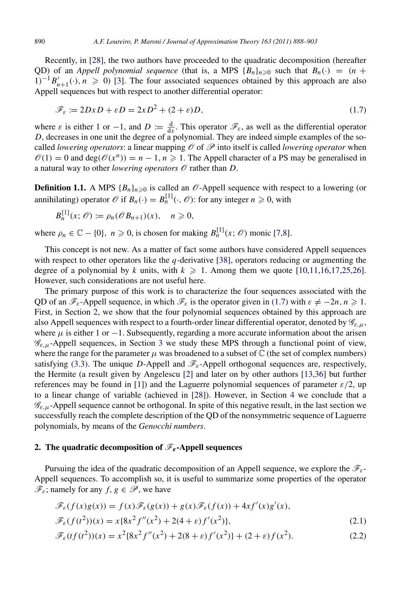Recently, in [\[28\]](#page-14-0), the two authors have proceeded to the quadratic decomposition (hereafter QD) of an *Appell polynomial sequence* (that is, a MPS  ${B_n}_{n \geq 0}$  such that  $B_n(\cdot) = (n +$  $1)^{-1}B'_{n+1}(\cdot), n \ge 0$  [\[3\]](#page-14-11). The four associated sequences obtained by this approach are also Appell sequences but with respect to another differential operator:

<span id="page-2-0"></span>
$$
\mathcal{F}_{\varepsilon} := 2DxD + \varepsilon D = 2xD^2 + (2+\varepsilon)D,\tag{1.7}
$$

where  $\varepsilon$  is either 1 or -1, and  $D := \frac{d}{dx}$ . This operator  $\mathscr{F}_{\varepsilon}$ , as well as the differential operator *D*, decreases in one unit the degree of a polynomial. They are indeed simple examples of the socalled *lowering operators*: a linear mapping  $\mathcal O$  of  $\mathcal P$  into itself is called *lowering operator* when  $\mathcal{O}(1) = 0$  and deg( $\mathcal{O}(x^n)$ ) = *n* − 1, *n*  $\geq$  1. The Appell character of a PS may be generalised in a natural way to other *lowering operators*  $\mathcal O$  rather than  $D$ .

**Definition 1.1.** A MPS  ${B_n}_{n=0}$  is called an  $\mathcal{O}$ -Appell sequence with respect to a lowering (or annihilating) operator  $\mathcal{O}$  if  $B_n(\cdot) = B_n^{[1]}(\cdot, \mathcal{O})$ : for any integer  $n \ge 0$ , with

<span id="page-2-4"></span>
$$
B_n^{[1]}(x; \mathcal{O}) := \rho_n(\mathcal{O}B_{n+1})(x), \quad n \geq 0,
$$

where  $\rho_n \in \mathbb{C} - \{0\}$ ,  $n \geq 0$ , is chosen for making  $B_n^{[1]}(x; \mathcal{O})$  monic [\[7](#page-14-12)[,8\]](#page-14-13).

This concept is not new. As a matter of fact some authors have considered Appell sequences with respect to other operators like the *q*-derivative [\[38\]](#page-15-0), operators reducing or augmenting the degree of a polynomial by *k* units, with  $k \ge 1$ . Among them we quote [\[10](#page-14-14)[,11,](#page-14-15)[16,](#page-14-16)[17,](#page-14-17)[25,](#page-14-18)[26\]](#page-14-19). However, such considerations are not useful here.

The primary purpose of this work is to characterize the four sequences associated with the QD of an  $\mathcal{F}_{\varepsilon}$ -Appell sequence, in which  $\mathcal{F}_{\varepsilon}$  is the operator given in [\(1.7\)](#page-2-0) with  $\varepsilon \neq -2n, n \geq 1$ . First, in Section [2,](#page-2-1) we show that the four polynomial sequences obtained by this approach are also Appell sequences with respect to a fourth-order linear differential operator, denoted by  $\mathcal{G}_{\epsilon,\mu}$ , where  $\mu$  is either 1 or −1. Subsequently, regarding a more accurate information about the arisen  $\mathscr{G}_{\varepsilon,\mu}$ -Appell sequences, in Section [3](#page-6-0) we study these MPS through a functional point of view, where the range for the parameter  $\mu$  was broadened to a subset of  $\mathbb C$  (the set of complex numbers) satisfying [\(3.3\).](#page-6-1) The unique *D*-Appell and  $\mathcal{F}_{\varepsilon}$ -Appell orthogonal sequences are, respectively, the Hermite (a result given by Angelescu [\[2\]](#page-13-0) and later on by other authors [\[13](#page-14-9)[,36\]](#page-15-1) but further references may be found in [\[1\]](#page-13-1)) and the Laguerre polynomial sequences of parameter  $\varepsilon/2$ , up to a linear change of variable (achieved in [\[28\]](#page-14-0)). However, in Section [4](#page-8-0) we conclude that a  $\mathscr{G}_{\varepsilon,\mu}$ -Appell sequence cannot be orthogonal. In spite of this negative result, in the last section we successfully reach the complete description of the QD of the nonsymmetric sequence of Laguerre polynomials, by means of the *Genocchi numbers*.

### <span id="page-2-1"></span>2. The quadratic decomposition of  $\mathscr{F}_\varepsilon$ -Appell sequences

Pursuing the idea of the quadratic decomposition of an Appell sequence, we explore the  $\mathscr{F}_{\varepsilon}$ -Appell sequences. To accomplish so, it is useful to summarize some properties of the operator  $\mathscr{F}_{\varepsilon}$ ; namely for any  $f, g \in \mathscr{P}$ , we have

<span id="page-2-2"></span>
$$
\mathcal{F}_{\varepsilon}(f(x)g(x)) = f(x)\mathcal{F}_{\varepsilon}(g(x)) + g(x)\mathcal{F}_{\varepsilon}(f(x)) + 4xf'(x)g'(x),
$$
  

$$
\mathcal{F}_{\varepsilon}(f(t^2))(x) = x\{8x^2 f''(x^2) + 2(4+\varepsilon)f'(x^2)\},
$$
\n(2.1)

<span id="page-2-3"></span>
$$
\mathcal{F}_{\varepsilon}(tf(t^2))(x) = x^2 \{8x^2 f''(x^2) + 2(8+\varepsilon)f'(x^2)\} + (2+\varepsilon)f(x^2). \tag{2.2}
$$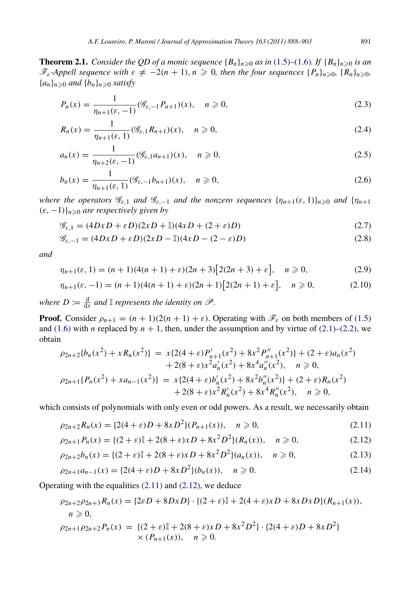<span id="page-3-12"></span>**Theorem 2.1.** *Consider the QD of a monic sequence*  ${B_n}_{n \geq 0}$  *as in* [\(1.5\)](#page-1-0)–[\(1.6\)](#page-1-1)*. If*  ${B_n}_{n \geq 0}$  *is an*  $\mathscr{F}_{\varepsilon}$ -Appell sequence with  $\varepsilon \neq -2(n+1), n \geq 0$ , then the four sequences  $\{P_n\}_{n \geq 0}$ ,  $\{R_n\}_{n \geq 0}$  ${a_n}_{n\geq 0}$  *and*  ${b_n}_{n\geq 0}$  *satisfy* 

<span id="page-3-5"></span>
$$
P_n(x) = \frac{1}{\eta_{n+1}(\varepsilon, -1)} (\mathcal{G}_{\varepsilon, -1} P_{n+1})(x), \quad n \ge 0,
$$
\n(2.3)

<span id="page-3-2"></span>
$$
R_n(x) = \frac{1}{\eta_{n+1}(\varepsilon, 1)} (\mathcal{G}_{\varepsilon, 1} R_{n+1})(x), \quad n \ge 0,
$$
\n(2.4)

<span id="page-3-11"></span>
$$
a_n(x) = \frac{1}{\eta_{n+2}(\varepsilon, -1)} (\mathcal{G}_{\varepsilon, 1} a_{n+1})(x), \quad n \ge 0,
$$
\n(2.5)

<span id="page-3-10"></span>
$$
b_n(x) = \frac{1}{\eta_{n+1}(\varepsilon, 1)} (\mathcal{G}_{\varepsilon, -1} b_{n+1})(x), \quad n \ge 0,
$$
\n(2.6)

*where the operators*  $\mathcal{G}_{\varepsilon,1}$  *and*  $\mathcal{G}_{\varepsilon,-1}$  *and the nonzero sequences*  $\{\eta_{n+1}(\varepsilon,1)\}_{n\geq 0}$  *and*  $\{\eta_{n+1}(\varepsilon,1)\}_{n\geq 0}$ (ε, −1)}*n*⩾<sup>0</sup> *are respectively given by*

<span id="page-3-6"></span><span id="page-3-3"></span>
$$
\mathcal{G}_{\varepsilon,1} = (4DxD + \varepsilon D)(2xD + \mathbb{I})(4xD + (2+\varepsilon)D)
$$
\n(2.7)

$$
\mathcal{G}_{\varepsilon, -1} = (4DxD + \varepsilon D)(2xD - \mathbb{I})(4xD - (2 - \varepsilon)D)
$$
\n(2.8)

*and*

<span id="page-3-4"></span>
$$
\eta_{n+1}(\varepsilon, 1) = (n+1)(4(n+1)+\varepsilon)(2n+3)[2(2n+3)+\varepsilon], \quad n \ge 0,
$$
\n(2.9)

<span id="page-3-7"></span>
$$
\eta_{n+1}(\varepsilon, -1) = (n+1)(4(n+1) + \varepsilon)(2n+1)[2(2n+1) + \varepsilon], \quad n \ge 0,
$$
\n(2.10)

*where*  $D := \frac{d}{dx}$  and  $\mathbb{I}$  *represents the identity on*  $\mathscr{P}$ *.* 

**Proof.** Consider  $\rho_{n+1} = (n+1)(2(n+1)+\varepsilon)$ . Operating with  $\mathcal{F}_{\varepsilon}$  on both members of [\(1.5\)](#page-1-0) and [\(1.6\)](#page-1-1) with *n* replaced by  $n + 1$ , then, under the assumption and by virtue of [\(2.1\)](#page-2-2)[–\(2.2\),](#page-2-3) we obtain

$$
\rho_{2n+2}\{b_n(x^2) + xR_n(x^2)\} = x\{2(4+\varepsilon)P'_{n+1}(x^2) + 8x^2P''_{n+1}(x^2)\} + (2+\varepsilon)a_n(x^2) \n+ 2(8+\varepsilon)x^2a'_n(x^2) + 8x^4a''_n(x^2), \quad n \ge 0, \n\rho_{2n+1}\{P_n(x^2) + xa_{n-1}(x^2)\} = x\{2(4+\varepsilon)b'_n(x^2) + 8x^2b''_n(x^2)\} + (2+\varepsilon)R_n(x^2) \n+ 2(8+\varepsilon)x^2R'_n(x^2) + 8x^4R''_n(x^2), \quad n \ge 0,
$$

which consists of polynomials with only even or odd powers. As a result, we necessarily obtain

<span id="page-3-0"></span>
$$
\rho_{2n+2}R_n(x) = \{2(4+\varepsilon)D + 8xD^2\}(P_{n+1}(x)), \quad n \ge 0,
$$
\n(2.11)

<span id="page-3-1"></span>
$$
\rho_{2n+1}P_n(x) = \{(2+\varepsilon)\mathbb{I} + 2(8+\varepsilon)xD + 8x^2D^2\}(R_n(x)), \quad n \ge 0,
$$
\n(2.12)

<span id="page-3-8"></span>
$$
\rho_{2n+2}b_n(x) = \{(2+\varepsilon)\mathbb{I} + 2(8+\varepsilon)xD + 8x^2D^2\}(a_n(x)), \quad n \ge 0,
$$
\n(2.13)

<span id="page-3-9"></span>
$$
\rho_{2n+1}a_{n-1}(x) = \{2(4+\varepsilon)D + 8xD^2\}(b_n(x)), \quad n \ge 0.
$$
\n(2.14)

Operating with the equalities [\(2.11\)](#page-3-0) and [\(2.12\),](#page-3-1) we deduce

$$
\rho_{2n+2}\rho_{2n+3}R_n(x) = \{2\varepsilon D + 8DxD\} \cdot \{(2+\varepsilon)\mathbb{I} + 2(4+\varepsilon)xD + 8xDxD\}(R_{n+1}(x)),
$$
  
\n
$$
n \ge 0,
$$
  
\n
$$
\rho_{2n+1}\rho_{2n+2}P_n(x) = \{(2+\varepsilon)\mathbb{I} + 2(8+\varepsilon)xD + 8x^2D^2\} \cdot \{2(4+\varepsilon)D + 8xD^2\}
$$
  
\n
$$
\times (P_{n+1}(x)), \quad n \ge 0.
$$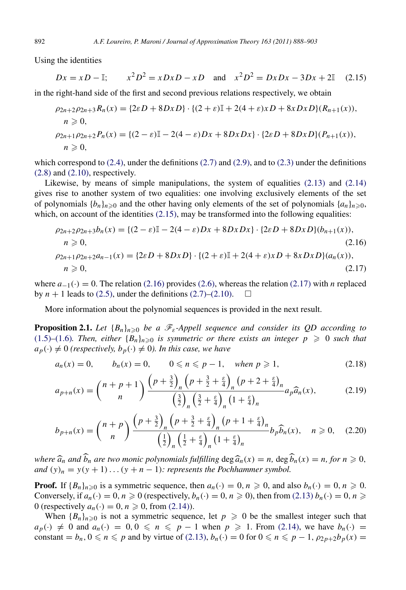Using the identities

<span id="page-4-0"></span>
$$
Dx = xD - \mathbb{I};
$$
  $x^2D^2 = xDxD - xD$  and  $x^2D^2 = DxDx - 3Dx + 2\mathbb{I}$  (2.15)

in the right-hand side of the first and second previous relations respectively, we obtain

$$
\rho_{2n+2}\rho_{2n+3}R_n(x) = \{2\varepsilon D + 8DxD\} \cdot \{(2+\varepsilon)\mathbb{I} + 2(4+\varepsilon)xD + 8xDxD\}(R_{n+1}(x)),
$$
  
\n
$$
n \ge 0,
$$
  
\n
$$
\rho_{2n+1}\rho_{2n+2}P_n(x) = \{(2-\varepsilon)\mathbb{I} - 2(4-\varepsilon)Dx + 8DxDx\} \cdot \{2\varepsilon D + 8DxD\}(P_{n+1}(x)),
$$
  
\n
$$
n \ge 0,
$$

which correspond to  $(2.4)$ , under the definitions  $(2.7)$  and  $(2.9)$ , and to  $(2.3)$  under the definitions  $(2.8)$  and  $(2.10)$ , respectively.

Likewise, by means of simple manipulations, the system of equalities [\(2.13\)](#page-3-8) and [\(2.14\)](#page-3-9) gives rise to another system of two equalities: one involving exclusively elements of the set of polynomials  ${b_n}_{n \geq 0}$  and the other having only elements of the set of polynomials  ${a_n}_{n \geq 0}$ , which, on account of the identities  $(2.15)$ , may be transformed into the following equalities:

<span id="page-4-2"></span><span id="page-4-1"></span>
$$
\rho_{2n+2}\rho_{2n+3}b_n(x) = \{(2 - \varepsilon)\mathbb{I} - 2(4 - \varepsilon)Dx + 8DxDx\} \cdot \{2\varepsilon D + 8DxD\}(b_{n+1}(x)),n \ge 0,
$$
\n(2.16)  
\n
$$
\rho_{2n+1}\rho_{2n+2}a_{n-1}(x) = \{2\varepsilon D + 8DxD\} \cdot \{(2 + \varepsilon)\mathbb{I} + 2(4 + \varepsilon)xD + 8xDxD\}(a_n(x)),n \ge 0,
$$
\n(2.17)

where  $a_{-1}(\cdot) = 0$ . The relation [\(2.16\)](#page-4-1) provides [\(2.6\),](#page-3-10) whereas the relation [\(2.17\)](#page-4-2) with *n* replaced by  $n + 1$  leads to [\(2.5\),](#page-3-11) under the definitions [\(2.7\)](#page-3-3)[–\(2.10\).](#page-3-7)  $\Box$ 

<span id="page-4-5"></span>More information about the polynomial sequences is provided in the next result.

**Proposition 2.1.** Let  ${B_n}_{n\geqslant0}$  be a  $\mathscr{F}_{\varepsilon}$ -Appell sequence and consider its QD according to [\(1.5\)](#page-1-0)–[\(1.6\)](#page-1-1)*. Then, either*  ${B_n}_{n\geqslant0}$  *is symmetric or there exists an integer*  $p \geqslant 0$  *such that*  $a_p(\cdot) \neq 0$  (respectively,  $b_p(\cdot) \neq 0$ ). In this case, we have

$$
a_n(x) = 0,
$$
  $b_n(x) = 0,$   $0 \le n \le p - 1,$  when  $p \ge 1,$  (2.18)

<span id="page-4-3"></span>
$$
a_{p+n}(x) = {n+p+1 \choose n} \frac{\left(p+\frac{3}{2}\right)_n \left(p+\frac{3}{2}+\frac{\varepsilon}{4}\right)_n (p+2+\frac{\varepsilon}{4})_n}{\left(\frac{3}{2}\right)_n \left(\frac{3}{2}+\frac{\varepsilon}{4}\right)_n (1+\frac{\varepsilon}{4})_n} a_p \widehat{a}_n(x),\tag{2.19}
$$

<span id="page-4-4"></span>
$$
b_{p+n}(x) = {n+p \choose n} \frac{\left(p+\frac{3}{2}\right)_n \left(p+\frac{3}{2}+\frac{\varepsilon}{4}\right)_n (p+1+\frac{\varepsilon}{4})_n}{\left(\frac{1}{2}\right)_n \left(\frac{1}{2}+\frac{\varepsilon}{4}\right)_n (1+\frac{\varepsilon}{4})_n} b_p \widehat{b}_n(x), \quad n \geqslant 0,
$$
 (2.20)

*where*  $\hat{a}_n$  *and*  $\hat{b}_n$  *are two monic polynomials fulfilling* deg  $\hat{a}_n(x) = n$ , deg  $\hat{b}_n(x) = n$ , for  $n \ge 0$ , *and*  $(y)_n = y(y + 1) \dots (y + n - 1)$ *: represents the Pochhammer symbol.* 

**Proof.** If  ${B_n}_{n \geq 0}$  is a symmetric sequence, then  $a_n(\cdot) = 0, n \geq 0$ , and also  $b_n(\cdot) = 0, n \geq 0$ . Conversely, if  $a_n(\cdot) = 0$ ,  $n \ge 0$  (respectively,  $b_n(\cdot) = 0$ ,  $n \ge 0$ ), then from [\(2.13\)](#page-3-8)  $b_n(\cdot) = 0$ ,  $n \ge 0$ 0 (respectively  $a_n(\cdot) = 0$ ,  $n \ge 0$ , from [\(2.14\)\)](#page-3-9).

When  ${B_n}_{n\geqslant0}$  is not a symmetric sequence, let  $p\geqslant0$  be the smallest integer such that  $a_p(\cdot) \neq 0$  and  $a_n(\cdot) = 0, 0 \leq n \leq p-1$  when  $p \geq 1$ . From [\(2.14\),](#page-3-9) we have  $b_n(\cdot) =$ constant =  $b_n$ ,  $0 \le n \le p$  and by virtue of [\(2.13\),](#page-3-8)  $b_n(\cdot) = 0$  for  $0 \le n \le p - 1$ ,  $\rho_{2p+2}b_p(x) = 0$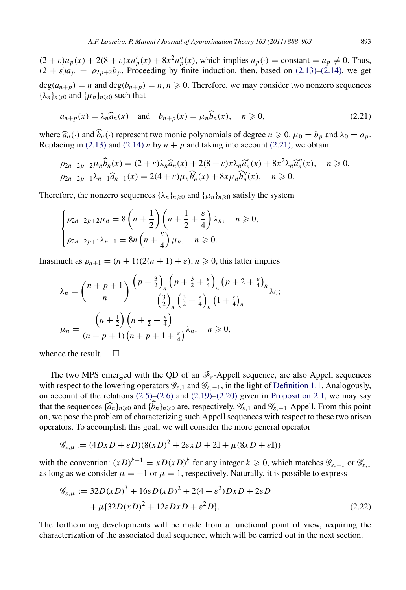$(2 + \varepsilon)a_p(x) + 2(8 + \varepsilon)xa'_p(x) + 8x^2a''_p(x)$ , which implies  $a_p(\cdot) = \text{constant} = a_p \neq 0$ . Thus,  $(2 + \varepsilon)a_p = \rho_{2p+2}b_p$ . Proceeding by finite induction, then, based on [\(2.13\)–](#page-3-8)[\(2.14\),](#page-3-9) we get  $deg(a_{n+p}) = n$  and  $deg(b_{n+p}) = n, n \ge 0$ . Therefore, we may consider two nonzero sequences  ${\lambda_n}_{n \geq 0}$  and  ${\mu_n}_{n \geq 0}$  such that

<span id="page-5-0"></span>
$$
a_{n+p}(x) = \lambda_n \widehat{a}_n(x) \quad \text{and} \quad b_{n+p}(x) = \mu_n \widehat{b}_n(x), \quad n \ge 0,
$$
\n(2.21)

where  $\hat{a}_n(\cdot)$  and  $\hat{b}_n(\cdot)$  represent two monic polynomials of degree  $n \ge 0$ ,  $\mu_0 = b_p$  and  $\lambda_0 = a_p$ . Replacing in [\(2.13\)](#page-3-8) and [\(2.14\)](#page-3-9) *n* by  $n + p$  and taking into account [\(2.21\),](#page-5-0) we obtain

$$
\rho_{2n+2p+2}\mu_n \widehat{b}_n(x) = (2+\varepsilon)\lambda_n \widehat{a}_n(x) + 2(8+\varepsilon)x\lambda_n \widehat{a}'_n(x) + 8x^2\lambda_n \widehat{a}''_n(x), \quad n \ge 0,
$$
  

$$
\rho_{2n+2p+1}\lambda_{n-1} \widehat{a}_{n-1}(x) = 2(4+\varepsilon)\mu_n \widehat{b}'_n(x) + 8x\mu_n \widehat{b}''_n(x), \quad n \ge 0.
$$

Therefore, the nonzero sequences  $\{\lambda_n\}_{n\geq 0}$  and  $\{\mu_n\}_{n\geq 0}$  satisfy the system

$$
\begin{cases}\n\rho_{2n+2p+2}\mu_n = 8\left(n+\frac{1}{2}\right)\left(n+\frac{1}{2}+\frac{\varepsilon}{4}\right)\lambda_n, & n \ge 0, \\
\rho_{2n+2p+1}\lambda_{n-1} = 8n\left(n+\frac{\varepsilon}{4}\right)\mu_n, & n \ge 0.\n\end{cases}
$$

Inasmuch as  $\rho_{n+1} = (n+1)(2(n+1) + \varepsilon), n \ge 0$ , this latter implies

$$
\lambda_n = {n+p+1 \choose n} \frac{\left(p+\frac{3}{2}\right)_n \left(p+\frac{3}{2}+\frac{\varepsilon}{4}\right)_n (p+2+\frac{\varepsilon}{4})_n}{\left(\frac{3}{2}\right)_n \left(\frac{3}{2}+\frac{\varepsilon}{4}\right)_n (1+\frac{\varepsilon}{4})_n} \lambda_0;
$$

$$
\mu_n = \frac{\left(n+\frac{1}{2}\right) \left(n+\frac{1}{2}+\frac{\varepsilon}{4}\right)}{\left(n+p+1\right) \left(n+p+1+\frac{\varepsilon}{4}\right)} \lambda_n, \quad n \geq 0,
$$

whence the result.  $\square$ 

The two MPS emerged with the QD of an  $\mathcal{F}_{\varepsilon}$ -Appell sequence, are also Appell sequences with respect to the lowering operators  $\mathcal{G}_{\varepsilon,1}$  and  $\mathcal{G}_{\varepsilon,-1}$ , in the light of [Definition 1.1.](#page-2-4) Analogously, on account of the relations  $(2.5)$ – $(2.6)$  and  $(2.19)$ – $(2.20)$  given in [Proposition 2.1,](#page-4-5) we may say that the sequences  $\{\widehat{a}_n\}_{n\geq 0}$  and  $\{b_n\}_{n\geq 0}$  are, respectively,  $\mathscr{G}_{\varepsilon,1}$  and  $\mathscr{G}_{\varepsilon,-1}$ -Appell. From this point on, we pose the problem of characterizing such Appell sequences with respect to these two arisen operators. To accomplish this goal, we will consider the more general operator

$$
\mathcal{G}_{\varepsilon,\mu} := (4DxD + \varepsilon D)(8(xD)^2 + 2\varepsilon xD + 2\mathbb{I} + \mu(8xD + \varepsilon\mathbb{I}))
$$

with the convention:  $(xD)^{k+1} = xD(xD)^k$  for any integer  $k \ge 0$ , which matches  $\mathscr{G}_{\varepsilon, -1}$  or  $\mathscr{G}_{\varepsilon, 1}$ as long as we consider  $\mu = -1$  or  $\mu = 1$ , respectively. Naturally, it is possible to express

<span id="page-5-1"></span>
$$
\mathcal{G}_{\varepsilon,\mu} := 32D(xD)^3 + 16\varepsilon D(xD)^2 + 2(4 + \varepsilon^2)DxD + 2\varepsilon D
$$
  
+  $\mu$ {32D(xD)<sup>2</sup> + 12\varepsilon DxD +  $\varepsilon^2 D$ }. (2.22)

The forthcoming developments will be made from a functional point of view, requiring the characterization of the associated dual sequence, which will be carried out in the next section.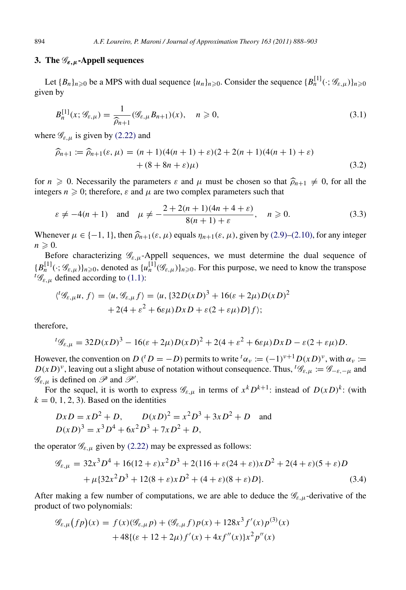# <span id="page-6-0"></span>3. The  $\mathscr{G}_{\varepsilon,\mu}$ -Appell sequences

Let  ${B_n}_{n \geq 0}$  be a MPS with dual sequence  ${u_n}_{n \geq 0}$ . Consider the sequence  ${B_n}^{\{1\}}(\cdot; \mathscr{G}_{\varepsilon,\mu})\}_{n \geq 0}$ given by

$$
B_n^{[1]}(x; \mathcal{G}_{\varepsilon,\mu}) = \frac{1}{\hat{\rho}_{n+1}} (\mathcal{G}_{\varepsilon,\mu} B_{n+1})(x), \quad n \ge 0,
$$
\n(3.1)

where  $\mathscr{G}_{\varepsilon,\mu}$  is given by [\(2.22\)](#page-5-1) and

<span id="page-6-2"></span>
$$
\widehat{\rho}_{n+1} := \widehat{\rho}_{n+1}(\varepsilon, \mu) = (n+1)(4(n+1) + \varepsilon)(2 + 2(n+1)(4(n+1) + \varepsilon) + (8 + 8n + \varepsilon)\mu)
$$
\n(3.2)

for  $n \ge 0$ . Necessarily the parameters  $\varepsilon$  and  $\mu$  must be chosen so that  $\hat{\rho}_{n+1} \ne 0$ , for all the integers  $n \geq 0$ ; therefore,  $\varepsilon$  and  $\mu$  are two complex parameters such that

<span id="page-6-1"></span>
$$
\varepsilon \neq -4(n+1)
$$
 and  $\mu \neq -\frac{2+2(n+1)(4n+4+\varepsilon)}{8(n+1)+\varepsilon}$ ,  $n \ge 0$ . (3.3)

Whenever  $\mu \in \{-1, 1\}$ , then  $\widehat{\rho}_{n+1}(\varepsilon, \mu)$  equals  $\eta_{n+1}(\varepsilon, \mu)$ , given by [\(2.9\)](#page-3-4)[–\(2.10\),](#page-3-7) for any integer  $n \geqslant 0$ .

Before characterizing  $\mathscr{G}_{\varepsilon,\mu}$ -Appell sequences, we must determine the dual sequence of  ${B_n^{[1]}}(\cdot;\mathscr{G}_{\varepsilon,\mu})\}_{n\geqslant0}$ , denoted as  ${u_n^{[1]}}(\mathscr{G}_{\varepsilon,\mu})\}_{n\geqslant0}$ . For this purpose, we need to know the transpose  ${}^t\mathscr{G}_{\varepsilon,\mu}$  defined according to [\(1.1\):](#page-1-2)

$$
\langle {}^{t} \mathscr{G}_{\varepsilon,\mu} u, f \rangle = \langle u, \mathscr{G}_{\varepsilon,\mu} f \rangle = \langle u, \{32D(xD)^{3} + 16(\varepsilon + 2\mu)D(xD)^{2} + 2(4 + \varepsilon^{2} + 6\varepsilon\mu)DxD + \varepsilon(2 + \varepsilon\mu)D\}f \rangle;
$$

therefore,

$$
{}^{t} \mathscr{G}_{\varepsilon,\mu} = 32D(xD)^{3} - 16(\varepsilon + 2\mu)D(xD)^{2} + 2(4 + \varepsilon^{2} + 6\varepsilon\mu)DxD - \varepsilon(2 + \varepsilon\mu)D.
$$

However, the convention on *D* (<sup>t</sup> *D* = −*D*) permits to write <sup>t</sup> $\alpha_v := (-1)^{v+1} D(xD)^v$ , with  $\alpha_v :=$  $D(xD)^{\nu}$ , leaving out a slight abuse of notation without consequence. Thus, <sup>t</sup> $\mathscr{G}_{\varepsilon,\mu} := \mathscr{G}_{-\varepsilon,-\mu}$  and  $\mathscr{G}_{\varepsilon,\mu}$  is defined on  $\mathscr{P}$  and  $\mathscr{P}'$ .

For the sequel, it is worth to express  $\mathscr{G}_{\varepsilon,\mu}$  in terms of  $x^k D^{k+1}$ : instead of  $D(xD)^k$ : (with  $k = 0, 1, 2, 3$ . Based on the identities

$$
DxD = xD^2 + D, \qquad D(xD)^2 = x^2D^3 + 3xD^2 + D \quad \text{and}
$$
  

$$
D(xD)^3 = x^3D^4 + 6x^2D^3 + 7xD^2 + D,
$$

the operator  $\mathcal{G}_{\varepsilon,\mu}$  given by [\(2.22\)](#page-5-1) may be expressed as follows:

$$
\mathcal{G}_{\varepsilon,\mu} = 32x^3 D^4 + 16(12 + \varepsilon)x^2 D^3 + 2(116 + \varepsilon(24 + \varepsilon))xD^2 + 2(4 + \varepsilon)(5 + \varepsilon)D + \mu \{32x^2 D^3 + 12(8 + \varepsilon)x D^2 + (4 + \varepsilon)(8 + \varepsilon)D\}.
$$
 (3.4)

After making a few number of computations, we are able to deduce the  $\mathscr{G}_{\varepsilon,\mu}$ -derivative of the product of two polynomials:

$$
\mathcal{G}_{\varepsilon,\mu}(fp)(x) = f(x)(\mathcal{G}_{\varepsilon,\mu}p) + (\mathcal{G}_{\varepsilon,\mu}f)p(x) + 128x^3 f'(x)p^{(3)}(x) + 48\{(\varepsilon + 12 + 2\mu)f'(x) + 4xf''(x)\}x^2p''(x)
$$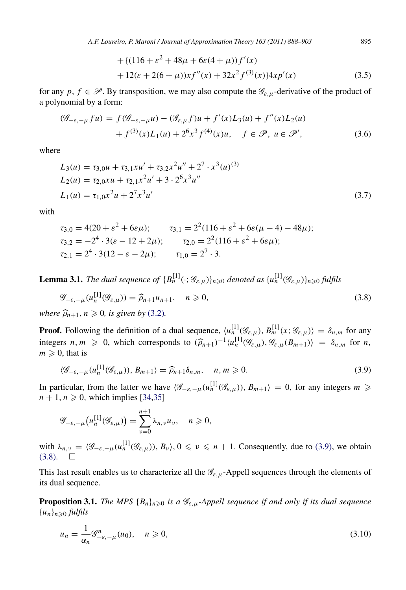*A.F. Loureiro, P. Maroni / Journal of Approximation Theory 163 (2011) 888–903* 895

+{
$$
(116 + \varepsilon^2 + 48\mu + 6\varepsilon(4 + \mu))f'(x)
$$
  
+ 12( $\varepsilon$  + 2(6 +  $\mu$ )) $xf''(x)$  + 32 $x^2 f^{(3)}(x)$ }4 $x p'(x)$  (3.5)

for any  $p, f \in \mathcal{P}$ . By transposition, we may also compute the  $\mathcal{G}_{\varepsilon,\mu}$ -derivative of the product of a polynomial by a form:

$$
(\mathcal{G}_{-\varepsilon,-\mu}f u) = f(\mathcal{G}_{-\varepsilon,-\mu}u) - (\mathcal{G}_{\varepsilon,\mu}f)u + f'(x)L_3(u) + f''(x)L_2(u)
$$
  
+  $f^{(3)}(x)L_1(u) + 2^6x^3f^{(4)}(x)u, \quad f \in \mathcal{P}, u \in \mathcal{P}',$  (3.6)

where

$$
L_3(u) = \tau_{3,0}u + \tau_{3,1}xu' + \tau_{3,2}x^2u'' + 2^7 \cdot x^3(u)^{(3)}
$$
  
\n
$$
L_2(u) = \tau_{2,0}xu + \tau_{2,1}x^2u' + 3 \cdot 2^6x^3u''
$$
  
\n
$$
L_1(u) = \tau_{1,0}x^2u + 2^7x^3u'
$$
\n(3.7)

with

$$
\tau_{3,0} = 4(20 + \varepsilon^2 + 6\varepsilon\mu); \qquad \tau_{3,1} = 2^2(116 + \varepsilon^2 + 6\varepsilon(\mu - 4) - 48\mu);
$$
  
\n
$$
\tau_{3,2} = -2^4 \cdot 3(\varepsilon - 12 + 2\mu); \qquad \tau_{2,0} = 2^2(116 + \varepsilon^2 + 6\varepsilon\mu);
$$
  
\n
$$
\tau_{2,1} = 2^4 \cdot 3(12 - \varepsilon - 2\mu); \qquad \tau_{1,0} = 2^7 \cdot 3.
$$

**Lemma 3.1.** The dual sequence of  ${B_n^{[1]}}(\cdot;\mathscr{G}_{\varepsilon,\mu})\}_{n\geqslant0}$  denoted as  ${u_n^{[1]}}(\mathscr{G}_{\varepsilon,\mu})\}_{n\geqslant0}$  fulfils

$$
\mathcal{G}_{-\varepsilon,-\mu}(u_n^{[1]}(\mathcal{G}_{\varepsilon,\mu})) = \widehat{\rho}_{n+1}u_{n+1}, \quad n \ge 0,
$$
\n(3.8)

*where*  $\widehat{\rho}_{n+1}$ ,  $n \geq 0$ , *is given by* [\(3.2\)](#page-6-2).

**Proof.** Following the definition of a dual sequence,  $\langle u_n^{[1]}(\mathscr{G}_{\varepsilon,\mu}), B_m^{[1]}(x; \mathscr{G}_{\varepsilon,\mu})\rangle = \delta_{n,m}$  for any integers  $n, m \ge 0$ , which corresponds to  $(\widehat{\rho}_{n+1})^{-1} \langle u_n^{[1]}(\mathscr{G}_{\varepsilon,\mu}), \mathscr{G}_{\varepsilon,\mu}(B_{m+1}) \rangle = \delta_{n,m}$  for *n*,  $m > 0$  that is  $m \geqslant 0$ , that is

<span id="page-7-0"></span>
$$
\langle \mathcal{G}_{-\varepsilon,-\mu}(u_n^{[1]}(\mathcal{G}_{\varepsilon,\mu})), B_{m+1}\rangle = \widehat{\rho}_{n+1}\delta_{n,m}, \quad n, m \ge 0.
$$
 (3.9)

In particular, from the latter we have  $\langle \mathcal{G}_{-\varepsilon,-\mu}(u_n^{[1]}(\mathcal{G}_{\varepsilon,\mu})) , B_{m+1} \rangle = 0$ , for any integers  $m \geq$  $n + 1, n \geq 0$ , which implies [\[34](#page-15-2)[,35\]](#page-15-3)

$$
\mathscr{G}_{-\varepsilon,-\mu}\big(u_n^{[1]}(\mathscr{G}_{\varepsilon,\mu})\big)=\sum_{\nu=0}^{n+1}\lambda_{n,\nu}u_\nu,\quad n\geqslant 0,
$$

with  $\lambda_{n,\nu} = \langle \mathcal{G}_{-\varepsilon,-\mu}(u_n^{[1]}(\mathcal{G}_{\varepsilon,\mu})) , B_{\nu} \rangle, 0 \le \nu \le n+1$ . Consequently, due to [\(3.9\),](#page-7-0) we obtain  $(3.8)$ .  $\Box$ 

This last result enables us to characterize all the  $\mathcal{G}_{\varepsilon,\mu}$ -Appell sequences through the elements of its dual sequence.

**Proposition 3.1.** *The MPS*  ${B_n}_{n \geq 0}$  *is a*  $\mathcal{G}_{\varepsilon,\mu}$ -Appell sequence if and only if its dual sequence  ${u_n}_{n\geqslant0}$  *fulfils* 

<span id="page-7-2"></span>
$$
u_n = \frac{1}{\alpha_n} \mathcal{G}^n_{-\varepsilon, -\mu}(u_0), \quad n \ge 0,
$$
\n(3.10)

<span id="page-7-4"></span><span id="page-7-3"></span><span id="page-7-1"></span>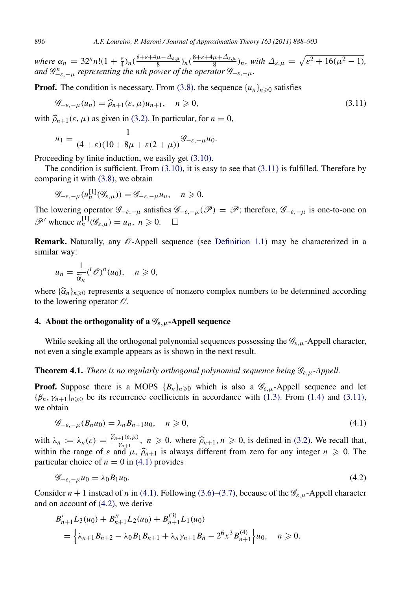*where*  $\alpha_n = 32^n n! (1 + \frac{\varepsilon}{4})_n (\frac{8 + \varepsilon + 4\mu - \Delta_{\varepsilon,\mu}}{8})$  $\frac{\mu-\Delta_{\varepsilon,\mu}}{8}$ <sub>)</sub>n( $\frac{8+\varepsilon+4\mu+\Delta_{\varepsilon,\mu}}{8}$  $\frac{\mu + \Delta_{\varepsilon,\mu}}{8}$ <sub>*n*</sub>, with  $\Delta_{\varepsilon,\mu} = \sqrt{\varepsilon^2 + 16(\mu^2 - 1)}$ , *and*  $\mathscr{G}^n_{-\varepsilon,-\mu}$  *representing the nth power of the operator*  $\mathscr{G}_{-\varepsilon,-\mu}$ *.* 

**Proof.** The condition is necessary. From [\(3.8\),](#page-7-1) the sequence  $\{u_n\}_{n\geq 0}$  satisfies

$$
\mathcal{G}_{-\varepsilon,-\mu}(u_n) = \widehat{\rho}_{n+1}(\varepsilon,\mu)u_{n+1}, \quad n \ge 0,
$$
\n(3.11)

with  $\hat{\rho}_{n+1}(\varepsilon, \mu)$  as given in [\(3.2\).](#page-6-2) In particular, for  $n = 0$ ,

<span id="page-8-1"></span>
$$
u_1 = \frac{1}{(4+\varepsilon)(10+8\mu+\varepsilon(2+\mu))} \mathscr{G}_{-\varepsilon,-\mu} u_0.
$$

Proceeding by finite induction, we easily get [\(3.10\).](#page-7-2)

The condition is sufficient. From  $(3.10)$ , it is easy to see that  $(3.11)$  is fulfilled. Therefore by comparing it with [\(3.8\),](#page-7-1) we obtain

$$
\mathcal{G}_{-\varepsilon,-\mu}(u_n^{[1]}(\mathcal{G}_{\varepsilon,\mu})) = \mathcal{G}_{-\varepsilon,-\mu}u_n, \quad n \geq 0.
$$

The lowering operator  $\mathscr{G}_{-\varepsilon,-\mu}$  satisfies  $\mathscr{G}_{-\varepsilon,-\mu}(\mathscr{P}) = \mathscr{P}$ ; therefore,  $\mathscr{G}_{-\varepsilon,-\mu}$  is one-to-one on  $\mathscr{P}'$  whence  $u_n^{[1]}(\mathscr{G}_{\varepsilon,\mu}) = u_n, n \geq 0. \quad \Box$ 

**Remark.** Naturally, any  $\mathcal{O}$ -Appell sequence (see [Definition 1.1\)](#page-2-4) may be characterized in a similar way:

$$
u_n = \frac{1}{\widetilde{\alpha}_n} {\binom{n}{n}} u_0, \quad n \geq 0,
$$

where  $\{\widetilde{\alpha}_n\}_{n\geqslant0}$  represents a sequence of nonzero complex numbers to be determined according to the lowering operator  $\widehat{\beta}$ to the lowering operator  $\mathcal O$ .

# <span id="page-8-0"></span>4. About the orthogonality of a  $\mathscr{G}_{\varepsilon,\mu}$ -Appell sequence

While seeking all the orthogonal polynomial sequences possessing the  $\mathscr{G}_{\varepsilon,\mu}$ -Appell character, not even a single example appears as is shown in the next result.

**Theorem 4.1.** *There is no regularly orthogonal polynomial sequence being*  $\mathcal{G}_{\varepsilon,\mu}$ -Appell.

**Proof.** Suppose there is a MOPS  ${B_n}_{n \geq 0}$  which is also a  $\mathcal{G}_{\varepsilon,\mu}$ -Appell sequence and let  ${\beta_n, \gamma_{n+1}}_{n \geq 0}$  be its recurrence coefficients in accordance with [\(1.3\).](#page-1-3) From [\(1.4\)](#page-1-4) and [\(3.11\),](#page-8-1) we obtain

<span id="page-8-2"></span>
$$
\mathcal{G}_{-\varepsilon,-\mu}(B_n u_0) = \lambda_n B_{n+1} u_0, \quad n \geqslant 0,
$$
\n
$$
(4.1)
$$

with  $\lambda_n := \lambda_n(\varepsilon) = \frac{\hat{\rho}_{n+1}(\varepsilon,\mu)}{p_{n+1}}, n \ge 0$ , where  $\hat{\rho}_{n+1}, n \ge 0$ , is defined in [\(3.2\).](#page-6-2) We recall that, within the range of  $\varepsilon$  and  $\mu$ ,  $\hat{\rho}_{n+1}$  is always different from zero for any integer  $n \geq 0$ . The particular choice of  $n = 0$  in [\(4.1\)](#page-8-2) provides

<span id="page-8-3"></span>
$$
\mathcal{G}_{-\varepsilon,-\mu}u_0 = \lambda_0 B_1 u_0. \tag{4.2}
$$

Consider  $n + 1$  instead of *n* in [\(4.1\).](#page-8-2) Following [\(3.6\)](#page-7-3)[–\(3.7\),](#page-7-4) because of the  $\mathcal{G}_{\varepsilon,\mu}$ -Appell character and on account of [\(4.2\),](#page-8-3) we derive

$$
B'_{n+1}L_3(u_0) + B''_{n+1}L_2(u_0) + B^{(3)}_{n+1}L_1(u_0)
$$
  
=  $\left\{\lambda_{n+1}B_{n+2} - \lambda_0B_1B_{n+1} + \lambda_n\gamma_{n+1}B_n - 2^6x^3B^{(4)}_{n+1}\right\}u_0, \quad n \ge 0.$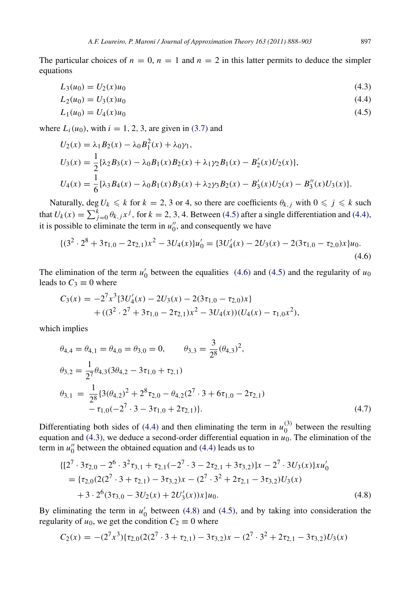The particular choices of  $n = 0$ ,  $n = 1$  and  $n = 2$  in this latter permits to deduce the simpler equations

$$
L_3(u_0) = U_2(x)u_0 \tag{4.3}
$$

<span id="page-9-3"></span><span id="page-9-1"></span>
$$
L_2(u_0) = U_3(x)u_0 \tag{4.4}
$$

<span id="page-9-0"></span>
$$
L_1(u_0) = U_4(x)u_0 \tag{4.5}
$$

where  $L_i(u_0)$ , with  $i = 1, 2, 3$ , are given in [\(3.7\)](#page-7-4) and

$$
U_2(x) = \lambda_1 B_2(x) - \lambda_0 B_1^2(x) + \lambda_0 \gamma_1,
$$
  
\n
$$
U_3(x) = \frac{1}{2} \{\lambda_2 B_3(x) - \lambda_0 B_1(x) B_2(x) + \lambda_1 \gamma_2 B_1(x) - B_2'(x) U_2(x) \},
$$
  
\n
$$
U_4(x) = \frac{1}{6} \{\lambda_3 B_4(x) - \lambda_0 B_1(x) B_3(x) + \lambda_2 \gamma_3 B_2(x) - B_3'(x) U_2(x) - B_3''(x) U_3(x) \}.
$$

Naturally, deg  $U_k \le k$  for  $k = 2, 3$  or 4, so there are coefficients  $\theta_{k,j}$  with  $0 \le j \le k$  such that  $U_k(x) = \sum_{j=0}^k \theta_{k,j} x^j$ , for  $k = 2, 3, 4$ . Between [\(4.5\)](#page-9-0) after a single differentiation and [\(4.4\),](#page-9-1) it is possible to eliminate the term in  $u''_0$ , and consequently we have

<span id="page-9-2"></span>
$$
\{(3^2 \cdot 2^8 + 3\tau_{1,0} - 2\tau_{2,1})x^2 - 3U_4(x)\}u'_0 = \{3U'_4(x) - 2U_3(x) - 2(3\tau_{1,0} - \tau_{2,0})x\}u_0.
$$
\n(4.6)

The elimination of the term  $u'_0$  between the equalities [\(4.6\)](#page-9-2) and [\(4.5\)](#page-9-0) and the regularity of  $u_0$ leads to  $C_3 \equiv 0$  where

$$
C_3(x) = -2^7 x^3 \{ 3U'_4(x) - 2U_3(x) - 2(3\tau_{1,0} - \tau_{2,0})x \} + ((3^2 \cdot 2^7 + 3\tau_{1,0} - 2\tau_{2,1})x^2 - 3U_4(x))(U_4(x) - \tau_{1,0}x^2),
$$

which implies

<span id="page-9-5"></span>
$$
\theta_{4,4} = \theta_{4,1} = \theta_{4,0} = \theta_{3,0} = 0, \qquad \theta_{3,3} = \frac{3}{2^8} (\theta_{4,3})^2,
$$
  
\n
$$
\theta_{3,2} = \frac{1}{2^7} \theta_{4,3} (3\theta_{4,2} - 3\tau_{1,0} + \tau_{2,1})
$$
  
\n
$$
\theta_{3,1} = \frac{1}{2^8} \{3(\theta_{4,2})^2 + 2^8 \tau_{2,0} - \theta_{4,2} (2^7 \cdot 3 + 6\tau_{1,0} - 2\tau_{2,1}) - \tau_{1,0} (-2^7 \cdot 3 - 3\tau_{1,0} + 2\tau_{2,1})\}.
$$
\n(4.7)

Differentiating both sides of [\(4.4\)](#page-9-1) and then eliminating the term in  $u_0^{(3)}$  $_0^{(3)}$  between the resulting equation and  $(4.3)$ , we deduce a second-order differential equation in  $u_0$ . The elimination of the term in  $u_0''$  between the obtained equation and [\(4.4\)](#page-9-1) leads us to

<span id="page-9-4"></span>
$$
\{ [2^7 \cdot 3\tau_{2,0} - 2^6 \cdot 3^2 \tau_{3,1} + \tau_{2,1}(-2^7 \cdot 3 - 2\tau_{2,1} + 3\tau_{3,2})]x - 2^7 \cdot 3U_3(x) \}xu'_0
$$
  
= { $\tau_{2,0}(2(2^7 \cdot 3 + \tau_{2,1}) - 3\tau_{3,2})x - (2^7 \cdot 3^2 + 2\tau_{2,1} - 3\tau_{3,2})U_3(x)$   
+ 3 \cdot 2^6(3\tau\_{3,0} - 3U\_2(x) + 2U'\_3(x))x\}u\_0. (4.8)

By eliminating the term in  $u'_0$  between [\(4.8\)](#page-9-4) and [\(4.5\),](#page-9-0) and by taking into consideration the regularity of  $u_0$ , we get the condition  $C_2 \equiv 0$  where

$$
C_2(x) = -(2^7x^3)\{\tau_{2,0}(2(2^7 \cdot 3 + \tau_{2,1}) - 3\tau_{3,2})x - (2^7 \cdot 3^2 + 2\tau_{2,1} - 3\tau_{3,2})U_3(x)
$$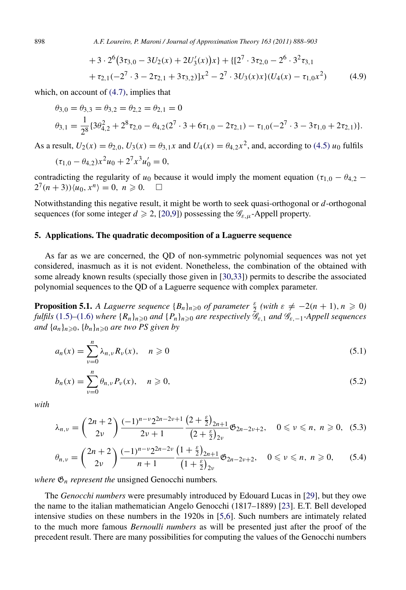898 *A.F. Loureiro, P. Maroni / Journal of Approximation Theory 163 (2011) 888–903*

+3\cdot 2<sup>6</sup>(3\tau\_{3,0} - 3U\_2(x) + 2U'\_3(x))x + {[
$$
27 \cdot 3\tau_{2,0} - 26 \cdot 32\tau_{3,1}
$$
  
+  $\tau_{2,1}(-27 \cdot 3 - 2\tau_{2,1} + 3\tau_{3,2})]x2 - 27 \cdot 3U_3(x)x$  { $U_4(x) - \tau_{1,0}x2)$  (4.9)

which, on account of [\(4.7\),](#page-9-5) implies that

$$
\theta_{3,0} = \theta_{3,3} = \theta_{3,2} = \theta_{2,2} = \theta_{2,1} = 0
$$
  
\n
$$
\theta_{3,1} = \frac{1}{2^8} \{ 3\theta_{4,2}^2 + 2^8 \tau_{2,0} - \theta_{4,2} (2^7 \cdot 3 + 6 \tau_{1,0} - 2 \tau_{2,1}) - \tau_{1,0} (-2^7 \cdot 3 - 3 \tau_{1,0} + 2 \tau_{2,1}) \}.
$$

As a result,  $U_2(x) = \theta_{2,0}$ ,  $U_3(x) = \theta_{3,1}x$  and  $U_4(x) = \theta_{4,2}x^2$ , and, according to [\(4.5\)](#page-9-0)  $u_0$  fulfils

$$
(\tau_{1,0} - \theta_{4,2})x^2u_0 + 2^7x^3u'_0 = 0,
$$

contradicting the regularity of *u*<sub>0</sub> because it would imply the moment equation  $(\tau_{1,0} - \theta_{4,2} - 2^7(n+3))$  *u*<sub>0</sub>. *x<sup>n</sup>*) = 0. *n* ≥ 0.  $2^{7}(n+3)\langle u_0, x^n \rangle = 0, n \geq 0. \quad \Box$ 

Notwithstanding this negative result, it might be worth to seek quasi-orthogonal or *d*-orthogonal sequences (for some integer  $d \ge 2$ , [\[20](#page-14-20)[,9\]](#page-14-21)) possessing the  $\mathcal{G}_{\varepsilon,\mu}$ -Appell property.

## 5. Applications. The quadratic decomposition of a Laguerre sequence

As far as we are concerned, the QD of non-symmetric polynomial sequences was not yet considered, inasmuch as it is not evident. Nonetheless, the combination of the obtained with some already known results (specially those given in [\[30](#page-14-7)[,33\]](#page-14-8)) permits to describe the associated polynomial sequences to the QD of a Laguerre sequence with complex parameter.

**Proposition 5.1.** *A Laguerre sequence*  ${B_n}_{n \geq 0}$  *of parameter*  $\frac{\varepsilon}{2}$  (with  $\varepsilon \neq -2(n+1)$ ,  $n \geq 0$ ) *fulfils* [\(1.5\)](#page-1-0)–[\(1.6\)](#page-1-1) *where*  $\{R_n\}_n \geq 0$  *and*  $\{P_n\}_n \geq 0$  *are respectively*  $\mathscr{G}_{\varepsilon,1}$  *and*  $\mathscr{G}_{\varepsilon,-1}$ *-Appell sequences and*  $\{a_n\}_{n\geq 0}$ ,  $\{b_n\}_{n\geq 0}$  *are two PS given by* 

<span id="page-10-0"></span>
$$
a_n(x) = \sum_{\nu=0}^n \lambda_{n,\nu} R_{\nu}(x), \quad n \geq 0
$$
\n(5.1)

<span id="page-10-1"></span>
$$
b_n(x) = \sum_{\nu=0}^n \theta_{n,\nu} P_{\nu}(x), \quad n \ge 0,
$$
\n(5.2)

*with*

<span id="page-10-2"></span>
$$
\lambda_{n,\nu} = \binom{2n+2}{2\nu} \frac{(-1)^{n-\nu} 2^{2n-2\nu+1}}{2\nu+1} \frac{\left(2+\frac{\varepsilon}{2}\right)_{2n+1}}{\left(2+\frac{\varepsilon}{2}\right)_{2\nu}} \mathfrak{G}_{2n-2\nu+2}, \quad 0 \leqslant \nu \leqslant n, n \geqslant 0, \tag{5.3}
$$

<span id="page-10-3"></span>
$$
\theta_{n,\nu} = \binom{2n+2}{2\nu} \frac{(-1)^{n-\nu} 2^{2n-2\nu}}{n+1} \frac{\left(1+\frac{\varepsilon}{2}\right)_{2n+1}}{\left(1+\frac{\varepsilon}{2}\right)_{2\nu}} \mathfrak{G}_{2n-2\nu+2}, \quad 0 \leqslant \nu \leqslant n, n \geqslant 0,
$$
 (5.4)

*where*  $\mathfrak{G}_n$  *represent the* unsigned Genocchi numbers.

The *Genocchi numbers* were presumably introduced by Edouard Lucas in [\[29\]](#page-14-22), but they owe the name to the italian mathematician Angelo Genocchi (1817–1889) [\[23\]](#page-14-23). E.T. Bell developed intensive studies on these numbers in the 1920s in [\[5,](#page-14-24)[6\]](#page-14-25). Such numbers are intimately related to the much more famous *Bernoulli numbers* as will be presented just after the proof of the precedent result. There are many possibilities for computing the values of the Genocchi numbers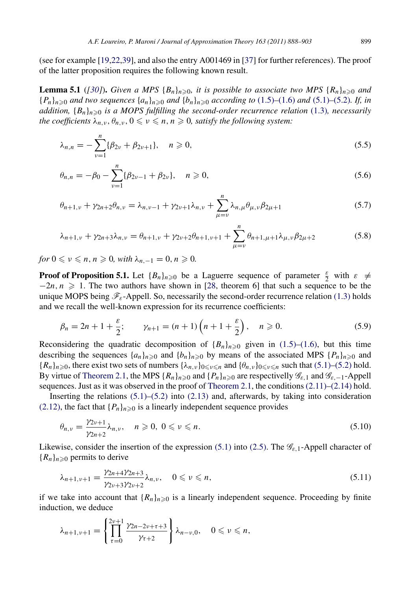(see for example [\[19](#page-14-26)[,22](#page-14-27)[,39\]](#page-15-4), and also the entry A001469 in [\[37\]](#page-15-5) for further references). The proof of the latter proposition requires the following known result.

<span id="page-11-1"></span>**Lemma 5.1** ([\[30\]](#page-14-7)). Given a MPS  ${B_n}_{n \geq 0}$ , it is possible to associate two MPS  ${R_n}_{n \geq 0}$  and  ${P_n}_{n \geq 0}$  *and two sequences*  ${a_n}_{n \geq 0}$  *and*  ${b_n}_{n \geq 0}$  *according to* [\(1.5\)](#page-1-0)–[\(1.6\)](#page-1-1) *and* [\(5.1\)](#page-10-0)–[\(5.2\)](#page-10-1)*. If, in addition,*  ${B_n}_{n \geq 0}$  *is a MOPS fulfilling the second-order recurrence relation* [\(1.3\)](#page-1-3)*, necessarily the coefficients*  $\lambda_{n,v}, \theta_{n,v}, 0 \leq v \leq n, n \geq 0$ , satisfy the following system:

<span id="page-11-2"></span>
$$
\lambda_{n,n} = -\sum_{\nu=1}^{n} \{\beta_{2\nu} + \beta_{2\nu+1}\}, \quad n \geqslant 0,
$$
\n(5.5)

<span id="page-11-3"></span>
$$
\theta_{n,n} = -\beta_0 - \sum_{\nu=1}^n \{\beta_{2\nu-1} + \beta_{2\nu}\}, \quad n \ge 0,
$$
\n(5.6)

<span id="page-11-6"></span>
$$
\theta_{n+1,\nu} + \gamma_{2n+2}\theta_{n,\nu} = \lambda_{n,\nu-1} + \gamma_{2\nu+1}\lambda_{n,\nu} + \sum_{\mu=\nu}^{n} \lambda_{n,\mu}\theta_{\mu,\nu}\beta_{2\mu+1}
$$
(5.7)

<span id="page-11-7"></span>
$$
\lambda_{n+1,\nu} + \gamma_{2n+3}\lambda_{n,\nu} = \theta_{n+1,\nu} + \gamma_{2\nu+2}\theta_{n+1,\nu+1} + \sum_{\mu=\nu}^{n} \theta_{n+1,\mu+1}\lambda_{\mu,\nu}\beta_{2\mu+2}
$$
(5.8)

*for*  $0 \le v \le n, n \ge 0$ , with  $\lambda_{n,-1} = 0, n \ge 0$ .

**Proof of Proposition 5.1.** Let  ${B_n}_{n\geqslant0}$  be a Laguerre sequence of parameter  $\frac{\varepsilon}{2}$  with  $\varepsilon \neq$  $-2n, n \geq 1$ . The two authors have shown in [\[28,](#page-14-0) theorem 6] that such a sequence to be the unique MOPS being  $\mathscr{F}_{\varepsilon}$ -Appell. So, necessarily the second-order recurrence relation [\(1.3\)](#page-1-3) holds and we recall the well-known expression for its recurrence coefficients:

<span id="page-11-0"></span>
$$
\beta_n = 2n + 1 + \frac{\varepsilon}{2}; \qquad \gamma_{n+1} = (n+1)\left(n + 1 + \frac{\varepsilon}{2}\right), \quad n \ge 0.
$$
 (5.9)

Reconsidering the quadratic decomposition of  ${B_n}_{n\geqslant0}$  given in [\(1.5\)](#page-1-0)[–\(1.6\),](#page-1-1) but this time describing the sequences  $\{a_n\}_{n\geq 0}$  and  $\{b_n\}_{n\geq 0}$  by means of the associated MPS  $\{P_n\}_{n\geq 0}$  and  ${R_n}_{n\geqslant0}$ , there exist two sets of numbers  ${\lambda_{n,\nu}}_{0\leqslant\nu\leqslant n}$  and  ${\theta_{n,\nu}}_{0\leqslant\nu\leqslant n}$  such that [\(5.1\)](#page-10-0)[–\(5.2\)](#page-10-1) hold. By virtue of [Theorem 2.1,](#page-3-12) the MPS  ${R_n}_{n\geqslant0}$  and  ${P_n}_{n\geqslant0}$  are respectivelly  $\mathscr{G}_{\varepsilon,1}$  and  $\mathscr{G}_{\varepsilon,-1}$ -Appell sequences. Just as it was observed in the proof of [Theorem 2.1,](#page-3-12) the conditions  $(2.11)$ – $(2.14)$  hold.

Inserting the relations  $(5.1)$ – $(5.2)$  into  $(2.13)$  and, afterwards, by taking into consideration [\(2.12\),](#page-3-1) the fact that  ${P_n}_{n\geq 0}$  is a linearly independent sequence provides

<span id="page-11-4"></span>
$$
\theta_{n,\nu} = \frac{\gamma_{2\nu+1}}{\gamma_{2n+2}} \lambda_{n,\nu}, \quad n \geqslant 0, \ 0 \leqslant \nu \leqslant n. \tag{5.10}
$$

Likewise, consider the insertion of the expression [\(5.1\)](#page-10-0) into [\(2.5\).](#page-3-11) The  $\mathcal{G}_{\varepsilon,1}$ -Appell character of  ${R_n}_{n \geq 0}$  permits to derive

<span id="page-11-5"></span>
$$
\lambda_{n+1,\nu+1} = \frac{\gamma_{2n+4}\gamma_{2n+3}}{\gamma_{2\nu+3}\gamma_{2\nu+2}} \lambda_{n,\nu}, \quad 0 \le \nu \le n,
$$
\n(5.11)

if we take into account that  ${R_n}_{n \geq 0}$  is a linearly independent sequence. Proceeding by finite induction, we deduce

$$
\lambda_{n+1,\nu+1} = \left\{ \prod_{\tau=0}^{2\nu+1} \frac{\gamma_{2n-2\nu+\tau+3}}{\gamma_{\tau+2}} \right\} \lambda_{n-\nu,0}, \quad 0 \leqslant \nu \leqslant n,
$$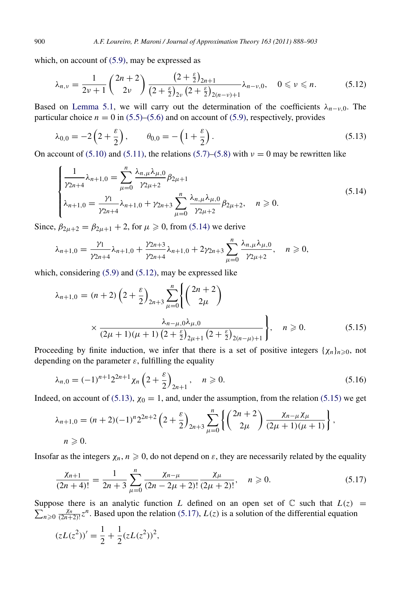which, on account of [\(5.9\),](#page-11-0) may be expressed as

<span id="page-12-1"></span>
$$
\lambda_{n,\nu} = \frac{1}{2\nu+1} \binom{2n+2}{2\nu} \frac{\left(2+\frac{\varepsilon}{2}\right)_{2n+1}}{\left(2+\frac{\varepsilon}{2}\right)_{2\nu} \left(2+\frac{\varepsilon}{2}\right)_{2(n-\nu)+1}} \lambda_{n-\nu,0}, \quad 0 \leqslant \nu \leqslant n. \tag{5.12}
$$

Based on [Lemma 5.1,](#page-11-1) we will carry out the determination of the coefficients  $\lambda_{n-v,0}$ . The particular choice  $n = 0$  in [\(5.5\)](#page-11-2)[–\(5.6\)](#page-11-3) and on account of [\(5.9\),](#page-11-0) respectively, provides

<span id="page-12-2"></span>
$$
\lambda_{0,0} = -2\left(2 + \frac{\varepsilon}{2}\right), \qquad \theta_{0,0} = -\left(1 + \frac{\varepsilon}{2}\right). \tag{5.13}
$$

On account of [\(5.10\)](#page-11-4) and [\(5.11\),](#page-11-5) the relations [\(5.7\)–](#page-11-6)[\(5.8\)](#page-11-7) with  $\nu = 0$  may be rewritten like

<span id="page-12-0"></span>
$$
\begin{cases} \frac{1}{\gamma_{2n+4}} \lambda_{n+1,0} = \sum_{\mu=0}^{n} \frac{\lambda_{n,\mu} \lambda_{\mu,0}}{\gamma_{2\mu+2}} \beta_{2\mu+1} \\ \lambda_{n+1,0} = \frac{\gamma_1}{\gamma_{2n+4}} \lambda_{n+1,0} + \gamma_{2n+3} \sum_{\mu=0}^{n} \frac{\lambda_{n,\mu} \lambda_{\mu,0}}{\gamma_{2\mu+2}} \beta_{2\mu+2}, \quad n \ge 0. \end{cases}
$$
(5.14)

Since,  $\beta_{2\mu+2} = \beta_{2\mu+1} + 2$ , for  $\mu \ge 0$ , from [\(5.14\)](#page-12-0) we derive

$$
\lambda_{n+1,0} = \frac{\gamma_1}{\gamma_{2n+4}} \lambda_{n+1,0} + \frac{\gamma_{2n+3}}{\gamma_{2n+4}} \lambda_{n+1,0} + 2\gamma_{2n+3} \sum_{\mu=0}^{n} \frac{\lambda_{n,\mu} \lambda_{\mu,0}}{\gamma_{2\mu+2}}, \quad n \geq 0,
$$

which, considering [\(5.9\)](#page-11-0) and [\(5.12\),](#page-12-1) may be expressed like

<span id="page-12-3"></span>
$$
\lambda_{n+1,0} = (n+2) \left(2 + \frac{\varepsilon}{2}\right)_{2n+3} \sum_{\mu=0}^{n} \left\{ \left(\frac{2n+2}{2\mu}\right) \times \frac{\lambda_{n-\mu,0}\lambda_{\mu,0}}{(2\mu+1)(\mu+1)\left(2 + \frac{\varepsilon}{2}\right)_{2\mu+1}\left(2 + \frac{\varepsilon}{2}\right)_{2(n-\mu)+1}} \right\}, \quad n \ge 0.
$$
\n(5.15)

Proceeding by finite induction, we infer that there is a set of positive integers  $\{\chi_n\}_{n\geq 0}$ , not depending on the parameter  $\varepsilon$ , fulfilling the equality

<span id="page-12-5"></span>
$$
\lambda_{n,0} = (-1)^{n+1} 2^{2n+1} \chi_n \left( 2 + \frac{\varepsilon}{2} \right)_{2n+1}, \quad n \ge 0.
$$
\n(5.16)

Indeed, on account of [\(5.13\),](#page-12-2)  $\chi_0 = 1$ , and, under the assumption, from the relation [\(5.15\)](#page-12-3) we get

$$
\lambda_{n+1,0} = (n+2)(-1)^n 2^{2n+2} \left(2 + \frac{\varepsilon}{2}\right)_{2n+3} \sum_{\mu=0}^n \left\{ \left(\frac{2n+2}{2\mu}\right) \frac{\chi_{n-\mu}\chi_{\mu}}{(2\mu+1)(\mu+1)} \right\},
$$
  
\n $n \ge 0.$ 

Insofar as the integers  $\chi_n$ ,  $n \geq 0$ , do not depend on  $\varepsilon$ , they are necessarily related by the equality

<span id="page-12-4"></span>
$$
\frac{\chi_{n+1}}{(2n+4)!} = \frac{1}{2n+3} \sum_{\mu=0}^{n} \frac{\chi_{n-\mu}}{(2n-2\mu+2)!} \frac{\chi_{\mu}}{(2\mu+2)!}, \quad n \ge 0.
$$
 (5.17)

Suppose there is an analytic function L defined on an open set of  $\mathbb C$  such that  $L(z)$  =  $\sum_{n\geqslant 0}^{\infty} \frac{\chi_n}{(2n+2)!} z^n$ . Based upon the relation [\(5.17\),](#page-12-4)  $L(z)$  is a solution of the differential equation

$$
(zL(z2))' = \frac{1}{2} + \frac{1}{2}(zL(z2))^{2},
$$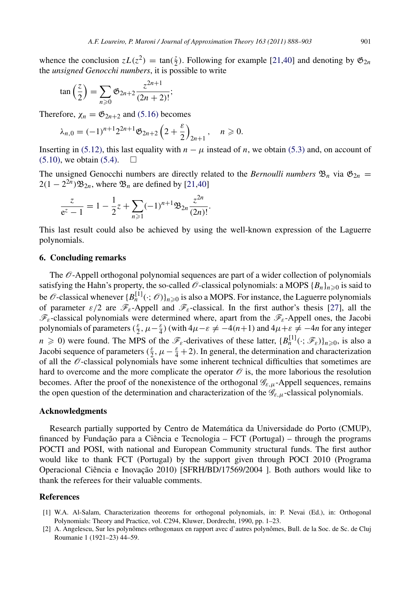whence the conclusion  $zL(z^2) = \tan(\frac{z}{2})$ . Following for example [\[21,](#page-14-28)[40\]](#page-15-6) and denoting by  $\mathfrak{G}_{2n}$ the *unsigned Genocchi numbers*, it is possible to write

$$
\tan\left(\frac{z}{2}\right) = \sum_{n\geqslant 0} \mathfrak{G}_{2n+2} \frac{z^{2n+1}}{(2n+2)!};
$$

Therefore,  $\chi_n = \mathfrak{G}_{2n+2}$  and [\(5.16\)](#page-12-5) becomes

$$
\lambda_{n,0}=(-1)^{n+1}2^{2n+1}\mathfrak{G}_{2n+2}\left(2+\frac{\varepsilon}{2}\right)_{2n+1},\quad n\geqslant 0.
$$

Inserting in [\(5.12\),](#page-12-1) this last equality with  $n - \mu$  instead of *n*, we obtain [\(5.3\)](#page-10-2) and, on account of  $(5.10)$ , we obtain  $(5.4)$ .  $\Box$ 

The unsigned Genocchi numbers are directly related to the *Bernoulli numbers*  $\mathfrak{B}_n$  via  $\mathfrak{G}_{2n}$  =  $2(1 - 2^{2n})\mathfrak{B}_{2n}$ , where  $\mathfrak{B}_n$  are defined by [\[21](#page-14-28)[,40\]](#page-15-6)

.

$$
\frac{z}{e^z - 1} = 1 - \frac{1}{2}z + \sum_{n \ge 1} (-1)^{n+1} \mathfrak{B}_{2n} \frac{z^{2n}}{(2n)!}
$$

This last result could also be achieved by using the well-known expression of the Laguerre polynomials.

# 6. Concluding remarks

The  $\mathcal O$ -Appell orthogonal polynomial sequences are part of a wider collection of polynomials satisfying the Hahn's property, the so-called  $\mathcal{O}$ -classical polynomials: a MOPS  $\{B_n\}_{n\geq 0}$  is said to be  $\mathscr O$ -classical whenever  $\{B_n^{[1]}(\cdot;\mathscr O)\}_{n\geq 0}$  is also a MOPS. For instance, the Laguerre polynomials of parameter  $\varepsilon/2$  are  $\mathscr{F}_{\varepsilon}$ -Appell and  $\mathscr{F}_{\varepsilon}$ -classical. In the first author's thesis [\[27\]](#page-14-29), all the  $\mathscr{F}_{\varepsilon}$ -classical polynomials were determined where, apart from the  $\mathscr{F}_{\varepsilon}$ -Appell ones, the Jacobi polynomials of parameters  $(\frac{\varepsilon}{2}, \mu - \frac{\varepsilon}{4})$  (with  $4\mu - \varepsilon \neq -4(n+1)$  and  $4\mu + \varepsilon \neq -4n$  for any integer  $n \geq 0$ ) were found. The MPS of the  $\mathscr{F}_{\varepsilon}$ -derivatives of these latter,  $\{B_n^{[1]}(\cdot;\mathscr{F}_{\varepsilon})\}_{n\geq 0}$ , is also a Jacobi sequence of parameters  $(\frac{\varepsilon}{2}, \mu - \frac{\varepsilon}{4} + 2)$ . In general, the determination and characterization of all the  $\mathcal O$ -classical polynomials have some inherent technical difficulties that sometimes are hard to overcome and the more complicate the operator  $\mathcal O$  is, the more laborious the resolution becomes. After the proof of the nonexistence of the orthogonal  $\mathscr{G}_{\varepsilon,\mu}$ -Appell sequences, remains the open question of the determination and characterization of the  $\mathcal{G}_{\varepsilon,\mu}$ -classical polynomials.

## Acknowledgments

Research partially supported by Centro de Matematica da Universidade do Porto (CMUP), ´ financed by Fundação para a Ciência e Tecnologia –  $FCT$  (Portugal) – through the programs POCTI and POSI, with national and European Community structural funds. The first author would like to thank FCT (Portugal) by the support given through POCI 2010 (Programa Operacional Ciência e Inovação 2010) [SFRH/BD/17569/2004 ]. Both authors would like to thank the referees for their valuable comments.

# References

- <span id="page-13-1"></span>[1] W.A. Al-Salam, Characterization theorems for orthogonal polynomials, in: P. Nevai (Ed.), in: Orthogonal Polynomials: Theory and Practice, vol. C294, Kluwer, Dordrecht, 1990, pp. 1–23.
- <span id="page-13-0"></span>[2] A. Angelescu, Sur les polynômes orthogonaux en rapport avec d'autres polynômes, Bull. de la Soc. de Sc. de Cluj Roumanie 1 (1921–23) 44–59.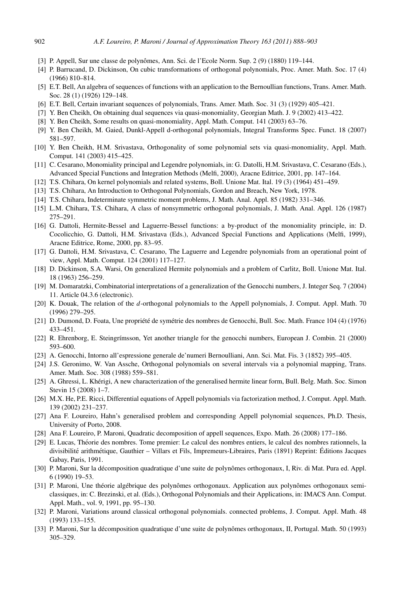- <span id="page-14-11"></span>[3] P. Appell, Sur une classe de polynômes, Ann. Sci. de l'Ecole Norm. Sup. 2 (9) (1880) 119–144.
- <span id="page-14-3"></span>[4] P. Barrucand, D. Dickinson, On cubic transformations of orthogonal polynomials, Proc. Amer. Math. Soc. 17 (4) (1966) 810–814.
- <span id="page-14-24"></span>[5] E.T. Bell, An algebra of sequences of functions with an application to the Bernoullian functions, Trans. Amer. Math. Soc. 28 (1) (1926) 129–148.
- <span id="page-14-25"></span>[6] E.T. Bell, Certain invariant sequences of polynomials, Trans. Amer. Math. Soc. 31 (3) (1929) 405–421.
- <span id="page-14-12"></span>[7] Y. Ben Cheikh, On obtaining dual sequences via quasi-monomiality, Georgian Math. J. 9 (2002) 413–422.
- <span id="page-14-13"></span>[8] Y. Ben Cheikh, Some results on quasi-monomiality, Appl. Math. Comput. 141 (2003) 63–76.
- <span id="page-14-21"></span>[9] Y. Ben Cheikh, M. Gaied, Dunkl-Appell d-orthogonal polynomials, Integral Transforms Spec. Funct. 18 (2007) 581–597.
- <span id="page-14-14"></span>[10] Y. Ben Cheikh, H.M. Srivastava, Orthogonality of some polynomial sets via quasi-monomiality, Appl. Math. Comput. 141 (2003) 415–425.
- <span id="page-14-15"></span>[11] C. Cesarano, Monomiality principal and Legendre polynomials, in: G. Datolli, H.M. Srivastava, C. Cesarano (Eds.), Advanced Special Functions and Integration Methods (Melfi, 2000), Aracne Editrice, 2001, pp. 147–164.
- <span id="page-14-4"></span>[12] T.S. Chihara, On kernel polynomials and related systems, Boll. Unione Mat. Ital. 19 (3) (1964) 451–459.
- <span id="page-14-9"></span>[13] T.S. Chihara, An Introduction to Orthogonal Polynomials, Gordon and Breach, New York, 1978.
- [14] T.S. Chihara, Indeterminate symmetric moment problems, J. Math. Anal. Appl. 85 (1982) 331–346.
- <span id="page-14-10"></span>[15] L.M. Chihara, T.S. Chihara, A class of nonsymmetric orthogonal polynomials, J. Math. Anal. Appl. 126 (1987) 275–291.
- <span id="page-14-16"></span>[16] G. Dattoli, Hermite-Bessel and Laguerre-Bessel functions: a by-product of the monomiality principle, in: D. Cocolicchio, G. Dattoli, H.M. Srivastava (Eds.), Advanced Special Functions and Applications (Melfi, 1999), Aracne Editrice, Rome, 2000, pp. 83–95.
- <span id="page-14-17"></span>[17] G. Dattoli, H.M. Srivastava, C. Cesarano, The Laguerre and Legendre polynomials from an operational point of view, Appl. Math. Comput. 124 (2001) 117–127.
- <span id="page-14-5"></span>[18] D. Dickinson, S.A. Warsi, On generalized Hermite polynomials and a problem of Carlitz, Boll. Unione Mat. Ital. 18 (1963) 256–259.
- <span id="page-14-26"></span>[19] M. Domaratzki, Combinatorial interpretations of a generalization of the Genocchi numbers, J. Integer Seq. 7 (2004) 11. Article 04.3.6 (electronic).
- <span id="page-14-20"></span>[20] K. Douak, The relation of the *d*-orthogonal polynomials to the Appell polynomials, J. Comput. Appl. Math. 70 (1996) 279–295.
- <span id="page-14-28"></span>[21] D. Dumond, D. Foata, Une propriété de symétrie des nombres de Genocchi, Bull. Soc. Math. France 104 (4) (1976) 433–451.
- <span id="page-14-27"></span>[22] R. Ehrenborg, E. Steingrímsson, Yet another triangle for the genocchi numbers, European J. Combin. 21 (2000) 593–600.
- <span id="page-14-23"></span>[23] A. Genocchi, Intorno all'espressione generale de'numeri Bernoulliani, Ann. Sci. Mat. Fis. 3 (1852) 395–405.
- <span id="page-14-6"></span>[24] J.S. Geronimo, W. Van Assche, Orthogonal polynomials on several intervals via a polynomial mapping, Trans. Amer. Math. Soc. 308 (1988) 559–581.
- <span id="page-14-18"></span>[25] A. Ghressi, L. Kherigi, A new characterization of the generalised hermite linear form, Bull. Belg. Math. Soc. Simon ´ Stevin 15 (2008) 1–7.
- <span id="page-14-19"></span>[26] M.X. He, P.E. Ricci, Differential equations of Appell polynomials via factorization method, J. Comput. Appl. Math. 139 (2002) 231–237.
- <span id="page-14-29"></span>[27] Ana F. Loureiro, Hahn's generalised problem and corresponding Appell polynomial sequences, Ph.D. Thesis, University of Porto, 2008.
- <span id="page-14-0"></span>[28] Ana F. Loureiro, P. Maroni, Quadratic decomposition of appell sequences, Expo. Math. 26 (2008) 177–186.
- <span id="page-14-22"></span>[29] E. Lucas, Theorie des nombres. Tome premier: Le calcul des nombres entiers, le calcul des nombres rationnels, la ´ divisibilité arithmétique, Gauthier – Villars et Fils, Impremeurs-Libraires, Paris (1891) Reprint: Éditions Jacques Gabay, Paris, 1991.
- <span id="page-14-7"></span>[30] P. Maroni, Sur la décomposition quadratique d'une suite de polynômes orthogonaux, I, Riv. di Mat. Pura ed. Appl. 6 (1990) 19–53.
- <span id="page-14-1"></span>[31] P. Maroni, Une théorie algébrique des polynômes orthogonaux. Application aux polynômes orthogonaux semiclassiques, in: C. Brezinski, et al. (Eds.), Orthogonal Polynomials and their Applications, in: IMACS Ann. Comput. Appl. Math., vol. 9, 1991, pp. 95–130.
- <span id="page-14-2"></span>[32] P. Maroni, Variations around classical orthogonal polynomials. connected problems, J. Comput. Appl. Math. 48 (1993) 133–155.
- <span id="page-14-8"></span>[33] P. Maroni, Sur la décomposition quadratique d'une suite de polynômes orthogonaux, II, Portugal. Math. 50 (1993) 305–329.